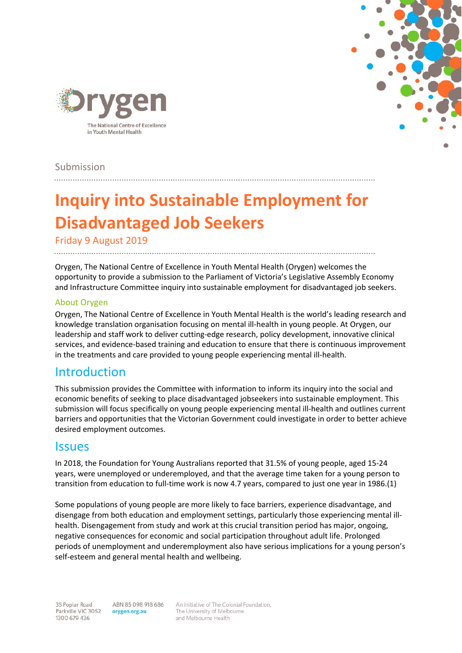



Submission

# **Inquiry into Sustainable Employment for Disadvantaged Job Seekers**

Friday 9 August 2019

Orygen, The National Centre of Excellence in Youth Mental Health (Orygen) welcomes the opportunity to provide a submission to the Parliament of Victoria's Legislative Assembly Economy and Infrastructure Committee inquiry into sustainable employment for disadvantaged job seekers.

#### About Orygen

Orygen, The National Centre of Excellence in Youth Mental Health is the world's leading research and knowledge translation organisation focusing on mental ill-health in young people. At Orygen, our leadership and staff work to deliver cutting-edge research, policy development, innovative clinical services, and evidence-based training and education to ensure that there is continuous improvement in the treatments and care provided to young people experiencing mental ill-health.

### Introduction

This submission provides the Committee with information to inform its inquiry into the social and economic benefits of seeking to place disadvantaged jobseekers into sustainable employment. This submission will focus specifically on young people experiencing mental ill-health and outlines current barriers and opportunities that the Victorian Government could investigate in order to better achieve desired employment outcomes.

### **Issues**

In 2018, the Foundation for Young Australians reported that 31.5% of young people, aged 15-24 years, were unemployed or underemployed, and that the average time taken for a young person to transition from education to full-time work is now 4.7 years, compared to just one year in 1986.(1)

Some populations of young people are more likely to face barriers, experience disadvantage, and disengage from both education and employment settings, particularly those experiencing mental illhealth. Disengagement from study and work at this crucial transition period has major, ongoing, negative consequences for economic and social participation throughout adult life. Prolonged periods of unemployment and underemployment also have serious implications for a young person's self-esteem and general mental health and wellbeing.

An initiative of The Colonial Foundation, The University of Melbourne and Melbourne Health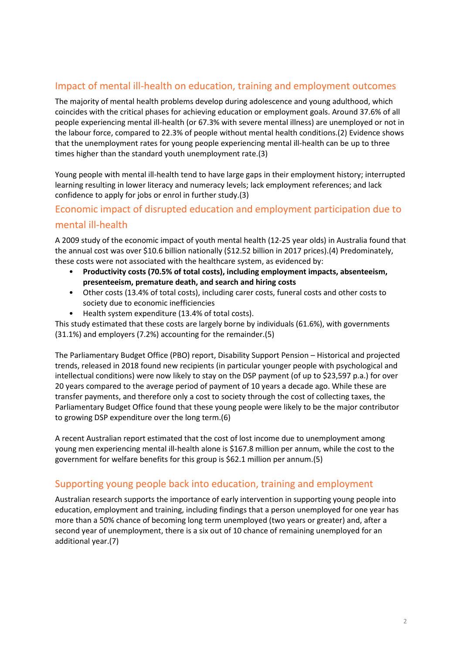#### Impact of mental ill-health on education, training and employment outcomes

The majority of mental health problems develop during adolescence and young adulthood, which coincides with the critical phases for achieving education or employment goals. Around 37.6% of all people experiencing mental ill-health (or 67.3% with severe mental illness) are unemployed or not in the labour force, compared to 22.3% of people without mental health conditions.(2) Evidence shows that the unemployment rates for young people experiencing mental ill-health can be up to three times higher than the standard youth unemployment rate.(3)

Young people with mental ill-health tend to have large gaps in their employment history; interrupted learning resulting in lower literacy and numeracy levels; lack employment references; and lack confidence to apply for jobs or enrol in further study.(3)

### Economic impact of disrupted education and employment participation due to mental ill-health

A 2009 study of the economic impact of youth mental health (12-25 year olds) in Australia found that the annual cost was over \$10.6 billion nationally (\$12.52 billion in 2017 prices).(4) Predominately, these costs were not associated with the healthcare system, as evidenced by:

- **Productivity costs (70.5% of total costs), including employment impacts, absenteeism, presenteeism, premature death, and search and hiring costs**
- Other costs (13.4% of total costs), including carer costs, funeral costs and other costs to society due to economic inefficiencies
- Health system expenditure (13.4% of total costs).

This study estimated that these costs are largely borne by individuals (61.6%), with governments (31.1%) and employers (7.2%) accounting for the remainder.(5)

The Parliamentary Budget Office (PBO) report, Disability Support Pension – Historical and projected trends, released in 2018 found new recipients (in particular younger people with psychological and intellectual conditions) were now likely to stay on the DSP payment (of up to \$23,597 p.a.) for over 20 years compared to the average period of payment of 10 years a decade ago. While these are transfer payments, and therefore only a cost to society through the cost of collecting taxes, the Parliamentary Budget Office found that these young people were likely to be the major contributor to growing DSP expenditure over the long term.(6)

A recent Australian report estimated that the cost of lost income due to unemployment among young men experiencing mental ill-health alone is \$167.8 million per annum, while the cost to the government for welfare benefits for this group is \$62.1 million per annum.(5)

#### Supporting young people back into education, training and employment

Australian research supports the importance of early intervention in supporting young people into education, employment and training, including findings that a person unemployed for one year has more than a 50% chance of becoming long term unemployed (two years or greater) and, after a second year of unemployment, there is a six out of 10 chance of remaining unemployed for an additional year.(7)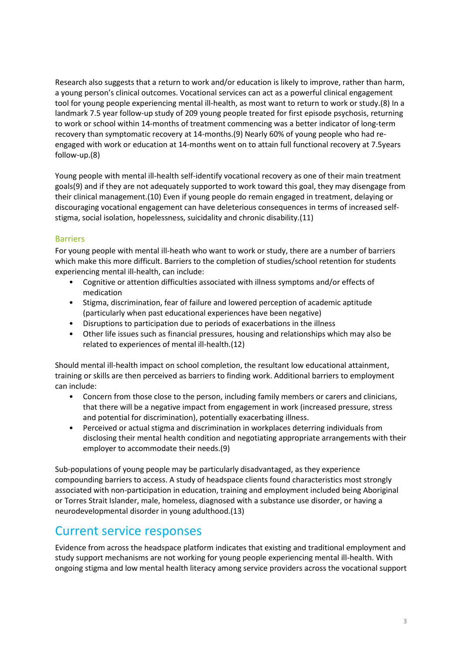Research also suggests that a return to work and/or education is likely to improve, rather than harm, a young person's clinical outcomes. Vocational services can act as a powerful clinical engagement tool for young people experiencing mental ill-health, as most want to return to work or study.(8) In a landmark 7.5 year follow-up study of 209 young people treated for first episode psychosis, returning to work or school within 14-months of treatment commencing was a better indicator of long-term recovery than symptomatic recovery at 14-months.(9) Nearly 60% of young people who had reengaged with work or education at 14-months went on to attain full functional recovery at 7.5years follow-up.(8)

Young people with mental ill-health self-identify vocational recovery as one of their main treatment goals(9) and if they are not adequately supported to work toward this goal, they may disengage from their clinical management.(10) Even if young people do remain engaged in treatment, delaying or discouraging vocational engagement can have deleterious consequences in terms of increased selfstigma, social isolation, hopelessness, suicidality and chronic disability.(11)

#### Barriers

For young people with mental ill-heath who want to work or study, there are a number of barriers which make this more difficult. Barriers to the completion of studies/school retention for students experiencing mental ill-health, can include:

- Cognitive or attention difficulties associated with illness symptoms and/or effects of medication
- Stigma, discrimination, fear of failure and lowered perception of academic aptitude (particularly when past educational experiences have been negative)
- Disruptions to participation due to periods of exacerbations in the illness
- Other life issues such as financial pressures, housing and relationships which may also be related to experiences of mental ill-health.(12)

Should mental ill-health impact on school completion, the resultant low educational attainment, training or skills are then perceived as barriers to finding work. Additional barriers to employment can include:

- Concern from those close to the person, including family members or carers and clinicians, that there will be a negative impact from engagement in work (increased pressure, stress and potential for discrimination), potentially exacerbating illness.
- Perceived or actual stigma and discrimination in workplaces deterring individuals from disclosing their mental health condition and negotiating appropriate arrangements with their employer to accommodate their needs.(9)

Sub-populations of young people may be particularly disadvantaged, as they experience compounding barriers to access. A study of headspace clients found characteristics most strongly associated with non-participation in education, training and employment included being Aboriginal or Torres Strait Islander, male, homeless, diagnosed with a substance use disorder, or having a neurodevelopmental disorder in young adulthood.(13)

### Current service responses

Evidence from across the headspace platform indicates that existing and traditional employment and study support mechanisms are not working for young people experiencing mental ill-health. With ongoing stigma and low mental health literacy among service providers across the vocational support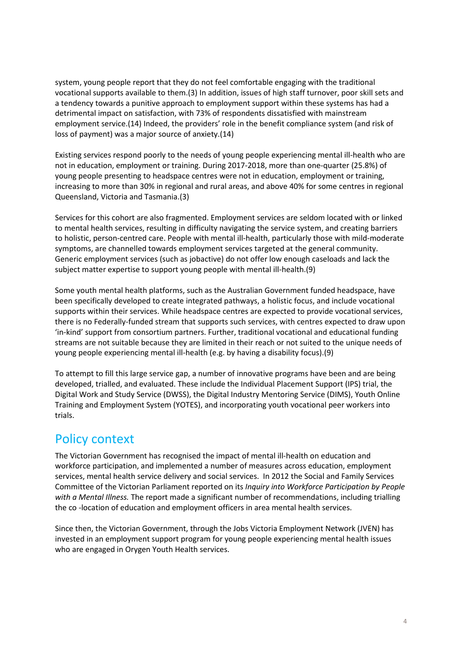system, young people report that they do not feel comfortable engaging with the traditional vocational supports available to them.(3) In addition, issues of high staff turnover, poor skill sets and a tendency towards a punitive approach to employment support within these systems has had a detrimental impact on satisfaction, with 73% of respondents dissatisfied with mainstream employment service.(14) Indeed, the providers' role in the benefit compliance system (and risk of loss of payment) was a major source of anxiety.(14)

Existing services respond poorly to the needs of young people experiencing mental ill-health who are not in education, employment or training. During 2017-2018, more than one-quarter (25.8%) of young people presenting to headspace centres were not in education, employment or training, increasing to more than 30% in regional and rural areas, and above 40% for some centres in regional Queensland, Victoria and Tasmania.(3)

Services for this cohort are also fragmented. Employment services are seldom located with or linked to mental health services, resulting in difficulty navigating the service system, and creating barriers to holistic, person-centred care. People with mental ill-health, particularly those with mild-moderate symptoms, are channelled towards employment services targeted at the general community. Generic employment services (such as jobactive) do not offer low enough caseloads and lack the subject matter expertise to support young people with mental ill-health.(9)

Some youth mental health platforms, such as the Australian Government funded headspace, have been specifically developed to create integrated pathways, a holistic focus, and include vocational supports within their services. While headspace centres are expected to provide vocational services, there is no Federally-funded stream that supports such services, with centres expected to draw upon 'in-kind' support from consortium partners. Further, traditional vocational and educational funding streams are not suitable because they are limited in their reach or not suited to the unique needs of young people experiencing mental ill-health (e.g. by having a disability focus).(9)

To attempt to fill this large service gap, a number of innovative programs have been and are being developed, trialled, and evaluated. These include the Individual Placement Support (IPS) trial, the Digital Work and Study Service (DWSS), the Digital Industry Mentoring Service (DIMS), Youth Online Training and Employment System (YOTES), and incorporating youth vocational peer workers into trials.

# Policy context

The Victorian Government has recognised the impact of mental ill-health on education and workforce participation, and implemented a number of measures across education, employment services, mental health service delivery and social services. In 2012 the Social and Family Services Committee of the Victorian Parliament reported on its *Inquiry into Workforce Participation by People with a Mental Illness.* The report made a significant number of recommendations, including trialling the co -location of education and employment officers in area mental health services.

Since then, the Victorian Government, through the Jobs Victoria Employment Network (JVEN) has invested in an employment support program for young people experiencing mental health issues who are engaged in Orygen Youth Health services.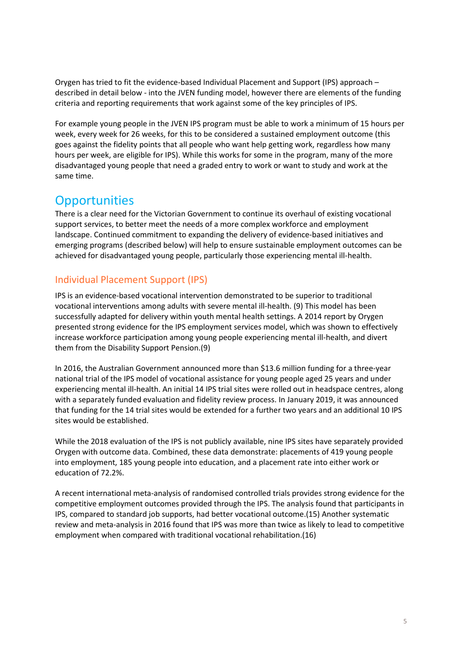Orygen has tried to fit the evidence-based Individual Placement and Support (IPS) approach – described in detail below - into the JVEN funding model, however there are elements of the funding criteria and reporting requirements that work against some of the key principles of IPS.

For example young people in the JVEN IPS program must be able to work a minimum of 15 hours per week, every week for 26 weeks, for this to be considered a sustained employment outcome (this goes against the fidelity points that all people who want help getting work, regardless how many hours per week, are eligible for IPS). While this works for some in the program, many of the more disadvantaged young people that need a graded entry to work or want to study and work at the same time.

# **Opportunities**

There is a clear need for the Victorian Government to continue its overhaul of existing vocational support services, to better meet the needs of a more complex workforce and employment landscape. Continued commitment to expanding the delivery of evidence-based initiatives and emerging programs (described below) will help to ensure sustainable employment outcomes can be achieved for disadvantaged young people, particularly those experiencing mental ill-health.

### Individual Placement Support (IPS)

IPS is an evidence-based vocational intervention demonstrated to be superior to traditional vocational interventions among adults with severe mental ill-health. (9) This model has been successfully adapted for delivery within youth mental health settings. A 2014 report by Orygen presented strong evidence for the IPS employment services model, which was shown to effectively increase workforce participation among young people experiencing mental ill-health, and divert them from the Disability Support Pension.(9)

In 2016, the Australian Government announced more than \$13.6 million funding for a three-year national trial of the IPS model of vocational assistance for young people aged 25 years and under experiencing mental ill-health. An initial 14 IPS trial sites were rolled out in headspace centres, along with a separately funded evaluation and fidelity review process. In January 2019, it was announced that funding for the 14 trial sites would be extended for a further two years and an additional 10 IPS sites would be established.

While the 2018 evaluation of the IPS is not publicly available, nine IPS sites have separately provided Orygen with outcome data. Combined, these data demonstrate: placements of 419 young people into employment, 185 young people into education, and a placement rate into either work or education of 72.2%.

A recent international meta-analysis of randomised controlled trials provides strong evidence for the competitive employment outcomes provided through the IPS. The analysis found that participants in IPS, compared to standard job supports, had better vocational outcome.(15) Another systematic review and meta-analysis in 2016 found that IPS was more than twice as likely to lead to competitive employment when compared with traditional vocational rehabilitation.(16)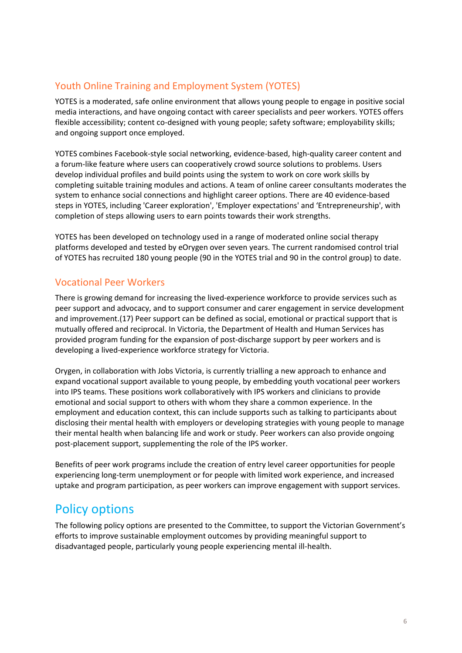### Youth Online Training and Employment System (YOTES)

YOTES is a moderated, safe online environment that allows young people to engage in positive social media interactions, and have ongoing contact with career specialists and peer workers. YOTES offers flexible accessibility; content co-designed with young people; safety software; employability skills; and ongoing support once employed.

YOTES combines Facebook-style social networking, evidence-based, high-quality career content and a forum-like feature where users can cooperatively crowd source solutions to problems. Users develop individual profiles and build points using the system to work on core work skills by completing suitable training modules and actions. A team of online career consultants moderates the system to enhance social connections and highlight career options. There are 40 evidence-based steps in YOTES, including 'Career exploration', 'Employer expectations' and 'Entrepreneurship', with completion of steps allowing users to earn points towards their work strengths.

YOTES has been developed on technology used in a range of moderated online social therapy platforms developed and tested by eOrygen over seven years. The current randomised control trial of YOTES has recruited 180 young people (90 in the YOTES trial and 90 in the control group) to date.

#### Vocational Peer Workers

There is growing demand for increasing the lived-experience workforce to provide services such as peer support and advocacy, and to support consumer and carer engagement in service development and improvement.(17) Peer support can be defined as social, emotional or practical support that is mutually offered and reciprocal. In Victoria, the Department of Health and Human Services has provided program funding for the expansion of post-discharge support by peer workers and is developing a lived-experience workforce strategy for Victoria.

Orygen, in collaboration with Jobs Victoria, is currently trialling a new approach to enhance and expand vocational support available to young people, by embedding youth vocational peer workers into IPS teams. These positions work collaboratively with IPS workers and clinicians to provide emotional and social support to others with whom they share a common experience. In the employment and education context, this can include supports such as talking to participants about disclosing their mental health with employers or developing strategies with young people to manage their mental health when balancing life and work or study. Peer workers can also provide ongoing post-placement support, supplementing the role of the IPS worker.

Benefits of peer work programs include the creation of entry level career opportunities for people experiencing long-term unemployment or for people with limited work experience, and increased uptake and program participation, as peer workers can improve engagement with support services.

# Policy options

The following policy options are presented to the Committee, to support the Victorian Government's efforts to improve sustainable employment outcomes by providing meaningful support to disadvantaged people, particularly young people experiencing mental ill-health.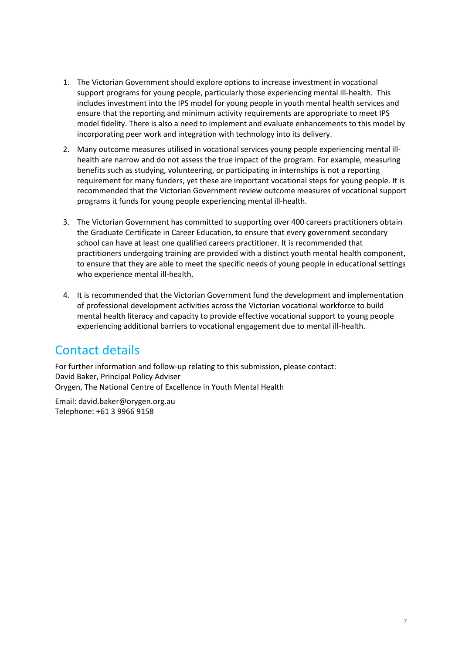- 1. The Victorian Government should explore options to increase investment in vocational support programs for young people, particularly those experiencing mental ill-health. This includes investment into the IPS model for young people in youth mental health services and ensure that the reporting and minimum activity requirements are appropriate to meet IPS model fidelity. There is also a need to implement and evaluate enhancements to this model by incorporating peer work and integration with technology into its delivery.
- 2. Many outcome measures utilised in vocational services young people experiencing mental illhealth are narrow and do not assess the true impact of the program. For example, measuring benefits such as studying, volunteering, or participating in internships is not a reporting requirement for many funders, yet these are important vocational steps for young people. It is recommended that the Victorian Government review outcome measures of vocational support programs it funds for young people experiencing mental ill-health.
- 3. The Victorian Government has committed to supporting over 400 careers practitioners obtain the Graduate Certificate in Career Education, to ensure that every government secondary school can have at least one qualified careers practitioner. It is recommended that practitioners undergoing training are provided with a distinct youth mental health component, to ensure that they are able to meet the specific needs of young people in educational settings who experience mental ill-health.
- 4. It is recommended that the Victorian Government fund the development and implementation of professional development activities across the Victorian vocational workforce to build mental health literacy and capacity to provide effective vocational support to young people experiencing additional barriers to vocational engagement due to mental ill-health.

# Contact details

For further information and follow-up relating to this submission, please contact: David Baker, Principal Policy Adviser Orygen, The National Centre of Excellence in Youth Mental Health

Email: david.baker@orygen.org.au Telephone: +61 3 9966 9158